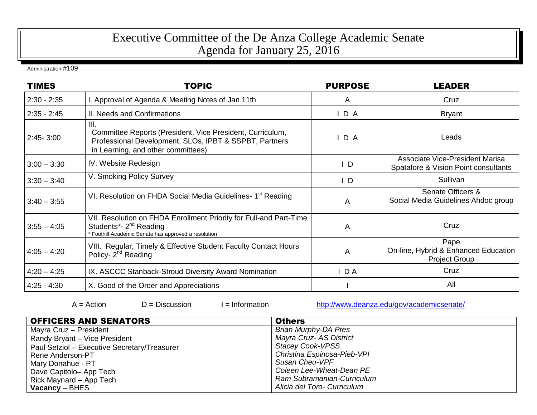## Executive Committee of the De Anza College Academic Senate Agenda for January 25, 2016

Administration #109

| <b>TIMES</b>  | <b>TOPIC</b>                                                                                                                                                      | <b>PURPOSE</b> | <b>LEADER</b>                                                                  |
|---------------|-------------------------------------------------------------------------------------------------------------------------------------------------------------------|----------------|--------------------------------------------------------------------------------|
| $2:30 - 2:35$ | I. Approval of Agenda & Meeting Notes of Jan 11th                                                                                                                 | A              | Cruz                                                                           |
| $2:35 - 2:45$ | II. Needs and Confirmations                                                                                                                                       | D A            | <b>Bryant</b>                                                                  |
| $2:45 - 3:00$ | III.<br>Committee Reports (President, Vice President, Curriculum,<br>Professional Development, SLOs, IPBT & SSPBT, Partners<br>in Learning, and other committees) | D A            | Leads                                                                          |
| $3:00 - 3:30$ | IV. Website Redesign                                                                                                                                              | $\mathsf{I}$ D | <b>Associate Vice-President Marisa</b><br>Spatafore & Vision Point consultants |
| $3:30 - 3:40$ | V. Smoking Policy Survey                                                                                                                                          | $\mathsf{I}$   | Sullivan                                                                       |
| $3:40 - 3:55$ | VI. Resolution on FHDA Social Media Guidelines- 1 <sup>st</sup> Reading                                                                                           | A              | Senate Officers &<br>Social Media Guidelines Ahdoc group                       |
| $3:55 - 4:05$ | VII. Resolution on FHDA Enrollment Priority for Full-and Part-Time<br>Students*- 2 <sup>nd</sup> Reading<br>* Foothill Academic Senate has approved a resolution  | A              | Cruz                                                                           |
| $4:05 - 4:20$ | VIII. Regular, Timely & Effective Student Faculty Contact Hours<br>Policy- 2 <sup>nd</sup> Reading                                                                | A              | Pape<br>On-line, Hybrid & Enhanced Education<br><b>Project Group</b>           |
| $4:20 - 4:25$ | IX. ASCCC Stanback-Stroud Diversity Award Nomination                                                                                                              | $I$ DA         | Cruz                                                                           |
| $4:25 - 4:30$ | X. Good of the Order and Appreciations                                                                                                                            |                | All                                                                            |

|  | $A = Action$ |  |
|--|--------------|--|

 $D = Disclusion$   $I = Information$  <http://www.deanza.edu/gov/academicsenate/>

| <b>OFFICERS AND SENATORS</b>                 | <b>Others</b>               |
|----------------------------------------------|-----------------------------|
| Mayra Cruz – President                       | <b>Brian Murphy-DA Pres</b> |
| Randy Bryant - Vice President                | Mayra Cruz- AS District     |
| Paul Setziol - Executive Secretary/Treasurer | <b>Stacey Cook-VPSS</b>     |
| Rene Anderson-PT                             | Christina Espinosa-Pieb-VPI |
| Mary Donahue - PT                            | Susan Cheu-VPF              |
| Dave Capitolo- App Tech                      | Coleen Lee-Wheat-Dean PE    |
| Rick Maynard - App Tech                      | Ram Subramanian-Curriculum  |
| $\sqrt{2}$ Vacancy – BHES                    | Alicia del Toro- Curriculum |